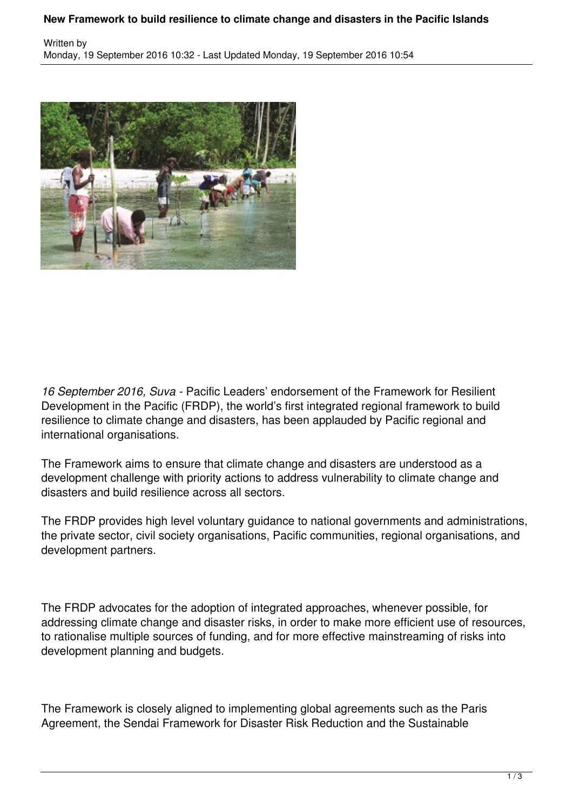## **New Framework to build resilience to climate change and disasters in the Pacific Islands**



*16 September 2016, Suva -* Pacific Leaders' endorsement of the Framework for Resilient Development in the Pacific (FRDP), the world's first integrated regional framework to build resilience to climate change and disasters, has been applauded by Pacific regional and international organisations.

The Framework aims to ensure that climate change and disasters are understood as a development challenge with priority actions to address vulnerability to climate change and disasters and build resilience across all sectors.

The FRDP provides high level voluntary guidance to national governments and administrations, the private sector, civil society organisations, Pacific communities, regional organisations, and development partners.

The FRDP advocates for the adoption of integrated approaches, whenever possible, for addressing climate change and disaster risks, in order to make more efficient use of resources, to rationalise multiple sources of funding, and for more effective mainstreaming of risks into development planning and budgets.

The Framework is closely aligned to implementing global agreements such as the Paris Agreement, the Sendai Framework for Disaster Risk Reduction and the Sustainable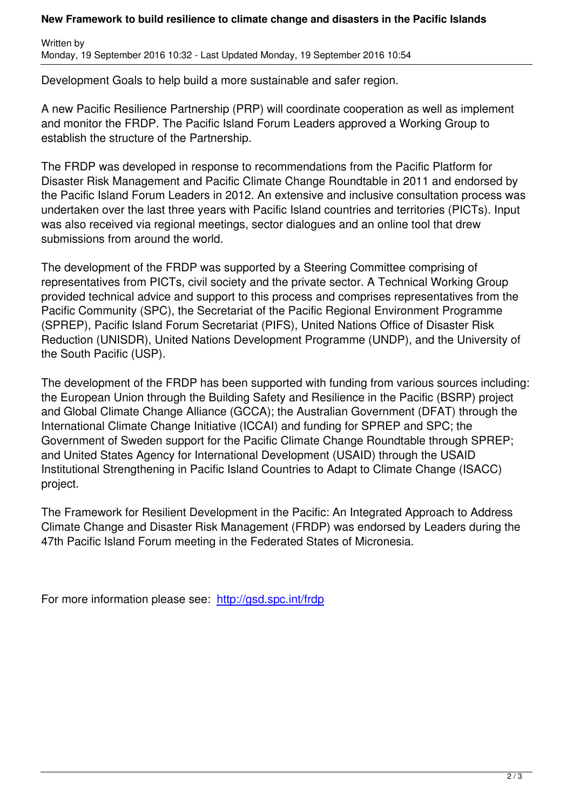Development Goals to help build a more sustainable and safer region.

Written by

A new Pacific Resilience Partnership (PRP) will coordinate cooperation as well as implement and monitor the FRDP. The Pacific Island Forum Leaders approved a Working Group to establish the structure of the Partnership.

The FRDP was developed in response to recommendations from the Pacific Platform for Disaster Risk Management and Pacific Climate Change Roundtable in 2011 and endorsed by the Pacific Island Forum Leaders in 2012. An extensive and inclusive consultation process was undertaken over the last three years with Pacific Island countries and territories (PICTs). Input was also received via regional meetings, sector dialogues and an online tool that drew submissions from around the world.

The development of the FRDP was supported by a Steering Committee comprising of representatives from PICTs, civil society and the private sector. A Technical Working Group provided technical advice and support to this process and comprises representatives from the Pacific Community (SPC), the Secretariat of the Pacific Regional Environment Programme (SPREP), Pacific Island Forum Secretariat (PIFS), United Nations Office of Disaster Risk Reduction (UNISDR), United Nations Development Programme (UNDP), and the University of the South Pacific (USP).

The development of the FRDP has been supported with funding from various sources including: the European Union through the Building Safety and Resilience in the Pacific (BSRP) project and Global Climate Change Alliance (GCCA); the Australian Government (DFAT) through the International Climate Change Initiative (ICCAI) and funding for SPREP and SPC; the Government of Sweden support for the Pacific Climate Change Roundtable through SPREP; and United States Agency for International Development (USAID) through the USAID Institutional Strengthening in Pacific Island Countries to Adapt to Climate Change (ISACC) project.

The Framework for Resilient Development in the Pacific: An Integrated Approach to Address Climate Change and Disaster Risk Management (FRDP) was endorsed by Leaders during the 47th Pacific Island Forum meeting in the Federated States of Micronesia.

For more information please see: http://gsd.spc.int/frdp